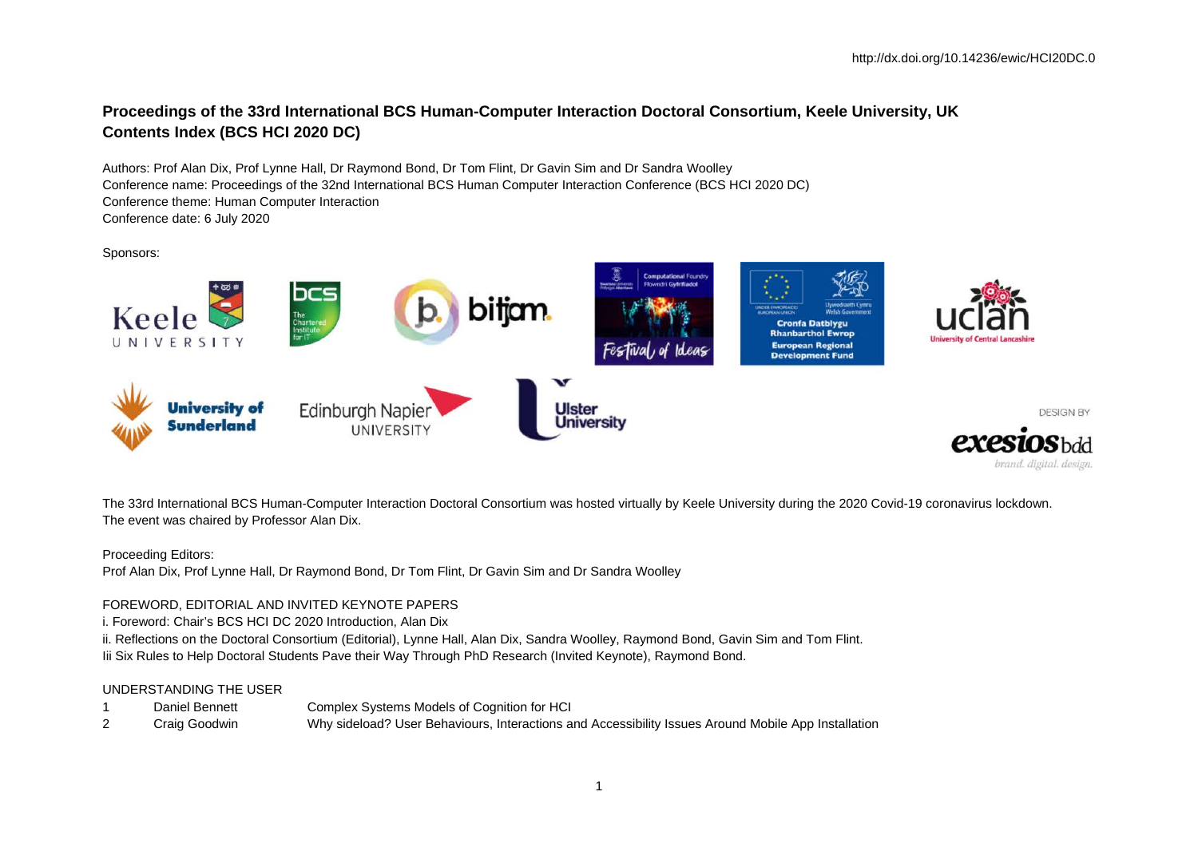## **Proceedings of the 33rd International BCS Human-Computer Interaction Doctoral Consortium, Keele University, UK Contents Index (BCS HCI 2020 DC)**

Authors: Prof Alan Dix, Prof Lynne Hall, Dr Raymond Bond, Dr Tom Flint, Dr Gavin Sim and Dr Sandra Woolley Conference name: Proceedings of the 32nd International BCS Human Computer Interaction Conference (BCS HCI 2020 DC) Conference theme: Human Computer Interaction Conference date: 6 July 2020

Sponsors:



The 33rd International BCS Human-Computer Interaction Doctoral Consortium was hosted virtually by Keele University during the 2020 Covid-19 coronavirus lockdown. The event was chaired by Professor Alan Dix.

Proceeding Editors:

Prof Alan Dix, Prof Lynne Hall, Dr Raymond Bond, Dr Tom Flint, Dr Gavin Sim and Dr Sandra Woolley

## FOREWORD, EDITORIAL AND INVITED KEYNOTE PAPERS

i. Foreword: Chair's BCS HCI DC 2020 Introduction, Alan Dix

ii. Reflections on the Doctoral Consortium (Editorial), Lynne Hall, Alan Dix, Sandra Woolley, Raymond Bond, Gavin Sim and Tom Flint. Iii Six Rules to Help Doctoral Students Pave their Way Through PhD Research (Invited Keynote), Raymond Bond.

## UNDERSTANDING THE USER

- 1 Daniel Bennett Complex Systems Models of Cognition for HCI
- 2 Craig Goodwin Why sideload? User Behaviours, Interactions and Accessibility Issues Around Mobile App Installation